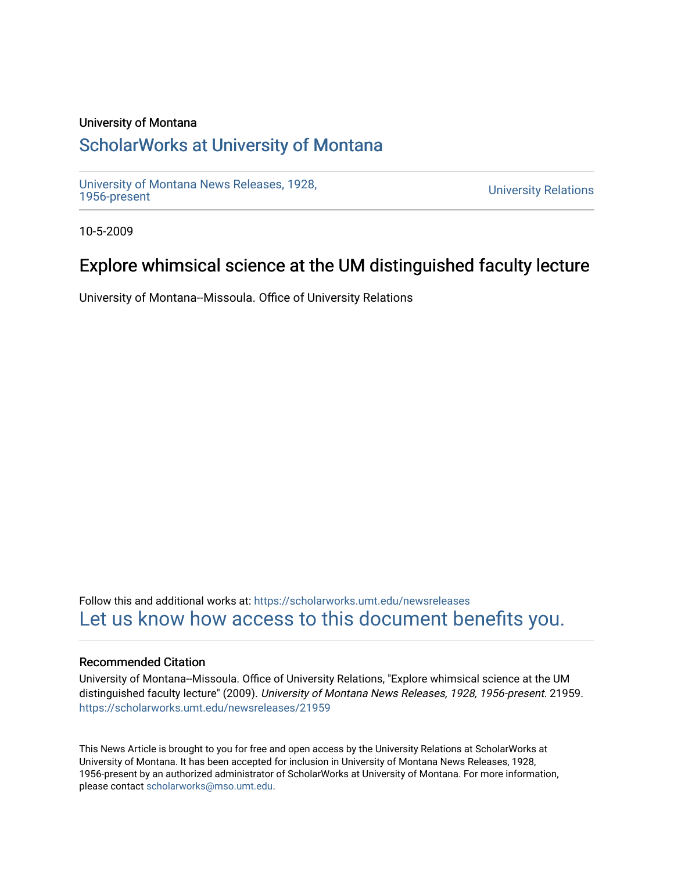## University of Montana

# [ScholarWorks at University of Montana](https://scholarworks.umt.edu/)

[University of Montana News Releases, 1928,](https://scholarworks.umt.edu/newsreleases) 

**University Relations** 

10-5-2009

# Explore whimsical science at the UM distinguished faculty lecture

University of Montana--Missoula. Office of University Relations

Follow this and additional works at: [https://scholarworks.umt.edu/newsreleases](https://scholarworks.umt.edu/newsreleases?utm_source=scholarworks.umt.edu%2Fnewsreleases%2F21959&utm_medium=PDF&utm_campaign=PDFCoverPages) [Let us know how access to this document benefits you.](https://goo.gl/forms/s2rGfXOLzz71qgsB2) 

### Recommended Citation

University of Montana--Missoula. Office of University Relations, "Explore whimsical science at the UM distinguished faculty lecture" (2009). University of Montana News Releases, 1928, 1956-present. 21959. [https://scholarworks.umt.edu/newsreleases/21959](https://scholarworks.umt.edu/newsreleases/21959?utm_source=scholarworks.umt.edu%2Fnewsreleases%2F21959&utm_medium=PDF&utm_campaign=PDFCoverPages) 

This News Article is brought to you for free and open access by the University Relations at ScholarWorks at University of Montana. It has been accepted for inclusion in University of Montana News Releases, 1928, 1956-present by an authorized administrator of ScholarWorks at University of Montana. For more information, please contact [scholarworks@mso.umt.edu.](mailto:scholarworks@mso.umt.edu)